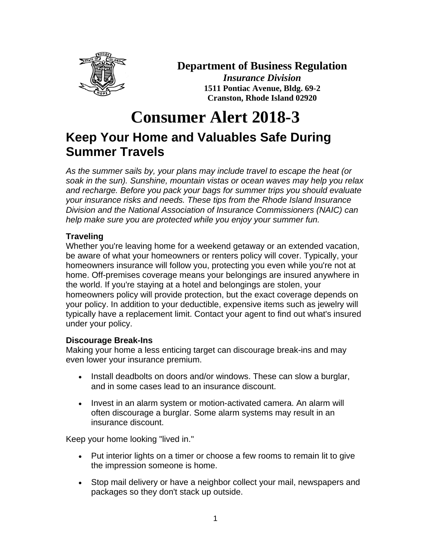

**Summer Travels**

# **Department of Business Regulation**

*Insurance Division* **1511 Pontiac Avenue, Bldg. 69-2 Cranston, Rhode Island 02920**

# **Consumer Alert 2018-3 Keep Your Home and Valuables Safe During**

*As the summer sails by, your plans may include travel to escape the heat (or soak in the sun). Sunshine, mountain vistas or ocean waves may help you relax and recharge. Before you pack your bags for summer trips you should evaluate your insurance risks and needs. These tips from the Rhode Island Insurance Division and the National Association of Insurance Commissioners (NAIC) can help make sure you are protected while you enjoy your summer fun.*

# **Traveling**

Whether you're leaving home for a weekend getaway or an extended vacation, be aware of what your homeowners or renters policy will cover. Typically, your homeowners insurance will follow you, protecting you even while you're not at home. Off-premises coverage means your belongings are insured anywhere in the world. If you're staying at a hotel and belongings are stolen, your homeowners policy will provide protection, but the exact coverage depends on your policy. In addition to your deductible, expensive items such as jewelry will typically have a replacement limit. Contact your agent to find out what's insured under your policy.

# **Discourage Break-Ins**

Making your home a less enticing target can discourage break-ins and may even lower your insurance premium.

- Install deadbolts on doors and/or windows. These can slow a burglar, and in some cases lead to an insurance discount.
- Invest in an alarm system or motion-activated camera. An alarm will often discourage a burglar. Some alarm systems may result in an insurance discount.

Keep your home looking "lived in."

- Put interior lights on a timer or choose a few rooms to remain lit to give the impression someone is home.
- Stop mail delivery or have a neighbor collect your mail, newspapers and packages so they don't stack up outside.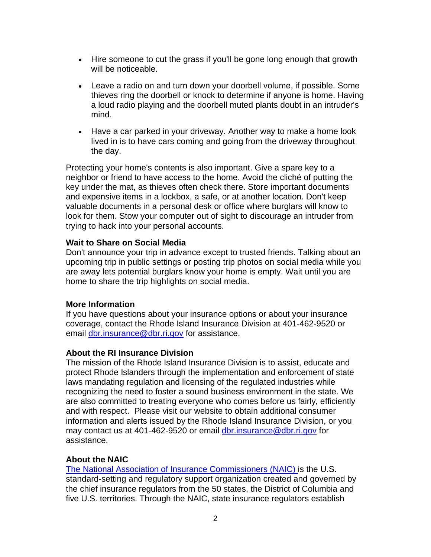- Hire someone to cut the grass if you'll be gone long enough that growth will be noticeable.
- Leave a radio on and turn down your doorbell volume, if possible. Some thieves ring the doorbell or knock to determine if anyone is home. Having a loud radio playing and the doorbell muted plants doubt in an intruder's mind.
- Have a car parked in your driveway. Another way to make a home look lived in is to have cars coming and going from the driveway throughout the day.

Protecting your home's contents is also important. Give a spare key to a neighbor or friend to have access to the home. Avoid the cliché of putting the key under the mat, as thieves often check there. Store important documents and expensive items in a lockbox, a safe, or at another location. Don't keep valuable documents in a personal desk or office where burglars will know to look for them. Stow your computer out of sight to discourage an intruder from trying to hack into your personal accounts.

#### **Wait to Share on Social Media**

Don't announce your trip in advance except to trusted friends. Talking about an upcoming trip in public settings or posting trip photos on social media while you are away lets potential burglars know your home is empty. Wait until you are home to share the trip highlights on social media.

#### **More Information**

If you have questions about your insurance options or about your insurance coverage, contact the Rhode Island Insurance Division at 401-462-9520 or email [dbr.insurance@dbr.ri.gov](mailto:dbr.insurance@dbr.ri.gov) for assistance.

# **About the RI Insurance Division**

The mission of the Rhode Island Insurance Division is to assist, educate and protect Rhode Islanders through the implementation and enforcement of state laws mandating regulation and licensing of the regulated industries while recognizing the need to foster a sound business environment in the state. We are also committed to treating everyone who comes before us fairly, efficiently and with respect. Please visit our website to obtain additional consumer information and alerts issued by the Rhode Island Insurance Division, or you may contact us at 401-462-9520 or email [dbr.insurance@dbr.ri.gov](mailto:dbr.insurance@dbr.ri.gov) for assistance.

# **About the NAIC**

The National Association [of Insurance Commissioners](http://www.naic.org/) (NAIC) is the U.S. standard-setting and regulatory support organization created and governed by the chief insurance regulators from the 50 states, the District of Columbia and five U.S. territories. Through the NAIC, state insurance regulators establish